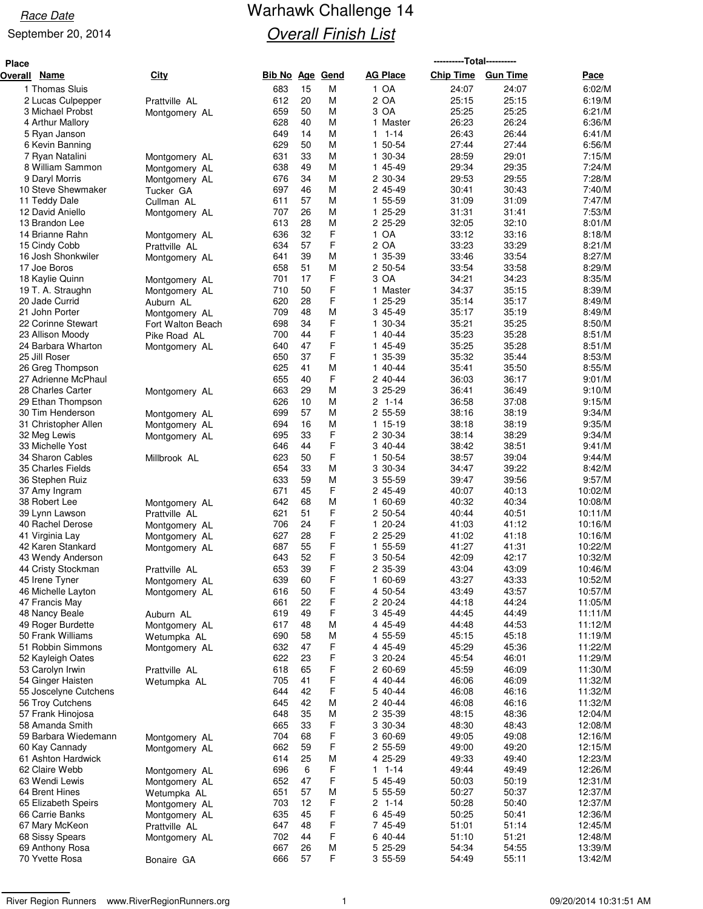# Race Date **Race Date** Warhawk Challenge 14 **Overall Finish List**

| Place   |                                      |                                |                        |          |        |                        | ----------Total---------- |                 |                    |
|---------|--------------------------------------|--------------------------------|------------------------|----------|--------|------------------------|---------------------------|-----------------|--------------------|
| Overall | Name                                 | <b>City</b>                    | <b>Bib No Age Gend</b> |          |        | <b>AG Place</b>        | <b>Chip Time</b>          | <b>Gun Time</b> | Pace               |
|         | 1 Thomas Sluis                       |                                | 683                    | 15       | M      | 1 OA                   | 24:07                     | 24:07           | 6:02/M             |
|         | 2 Lucas Culpepper                    | Prattville AL                  | 612                    | 20       | М      | 2 OA                   | 25:15                     | 25:15           | 6:19/M             |
|         | 3 Michael Probst                     | Montgomery AL                  | 659                    | 50       | М      | 3 OA                   | 25:25                     | 25:25           | 6:21/M             |
|         | 4 Arthur Mallory                     |                                | 628                    | 40       | М      | Master<br>$\mathbf{1}$ | 26:23                     | 26:24           | 6:36/M             |
|         | 5 Ryan Janson                        |                                | 649                    | 14       | М      | $1 1 - 14$             | 26:43                     | 26:44           | 6:41/M             |
|         | 6 Kevin Banning                      |                                | 629                    | 50       | M      | 1 50-54                | 27:44                     | 27:44           | 6:56/M             |
|         | 7 Ryan Natalini                      | Montgomery AL                  | 631                    | 33       | М      | 30-34<br>1             | 28:59                     | 29:01           | 7:15/M             |
|         | 8 William Sammon                     | Montgomery AL                  | 638                    | 49       | М      | 1 45-49                | 29:34                     | 29:35           | 7:24/M             |
|         | 9 Daryl Morris                       | Montgomery AL                  | 676                    | 34       | M      | 2 30-34                | 29:53                     | 29:55           | 7:28/M             |
|         | 10 Steve Shewmaker                   | Tucker GA                      | 697                    | 46       | М      | 2 45-49                | 30:41                     | 30:43           | 7:40/M             |
|         | 11 Teddy Dale<br>12 David Aniello    | Cullman AL                     | 611<br>707             | 57<br>26 | М<br>М | 1 55-59<br>25-29<br>1  | 31:09<br>31:31            | 31:09<br>31:41  | 7:47/M<br>7:53/M   |
|         | 13 Brandon Lee                       | Montgomery AL                  | 613                    | 28       | M      | 2 25-29                | 32:05                     | 32:10           | 8:01/M             |
|         | 14 Brianne Rahn                      |                                | 636                    | 32       | F      | 1 OA                   | 33:12                     | 33:16           | 8:18/M             |
|         | 15 Cindy Cobb                        | Montgomery AL<br>Prattville AL | 634                    | 57       | F      | 2 OA                   | 33:23                     | 33:29           | 8:21/M             |
|         | 16 Josh Shonkwiler                   | Montgomery AL                  | 641                    | 39       | М      | 1 35-39                | 33:46                     | 33:54           | 8:27/M             |
|         | 17 Joe Boros                         |                                | 658                    | 51       | М      | 2 50-54                | 33:54                     | 33:58           | 8:29/M             |
|         | 18 Kaylie Quinn                      | Montgomery AL                  | 701                    | 17       | F      | 3 OA                   | 34:21                     | 34:23           | 8:35/M             |
|         | 19 T. A. Straughn                    | Montgomery AL                  | 710                    | 50       | F      | 1 Master               | 34:37                     | 35:15           | 8:39/M             |
|         | 20 Jade Currid                       | Auburn AL                      | 620                    | 28       | F      | 25-29<br>1             | 35:14                     | 35:17           | 8:49/M             |
|         | 21 John Porter                       | Montgomery AL                  | 709                    | 48       | М      | 3 45-49                | 35:17                     | 35:19           | 8:49/M             |
|         | 22 Corinne Stewart                   | Fort Walton Beach              | 698                    | 34       | F      | 30-34<br>1             | 35:21                     | 35:25           | 8:50/M             |
|         | 23 Allison Moody                     | Pike Road AL                   | 700                    | 44       | F      | 1 40-44                | 35:23                     | 35:28           | 8:51/M             |
|         | 24 Barbara Wharton                   | Montgomery AL                  | 640                    | 47       | F      | 1 45-49                | 35:25                     | 35:28           | 8:51/M             |
|         | 25 Jill Roser                        |                                | 650                    | 37       | F      | 35-39<br>1.            | 35:32                     | 35:44           | 8:53/M             |
|         | 26 Greg Thompson                     |                                | 625                    | 41       | М      | 1 40-44                | 35:41                     | 35:50           | 8:55/M             |
|         | 27 Adrienne McPhaul                  |                                | 655                    | 40       | F      | 2 40-44                | 36:03                     | 36:17           | 9:01/M             |
|         | 28 Charles Carter                    | Montgomery AL                  | 663                    | 29       | М      | 3 25-29                | 36:41                     | 36:49           | 9:10/M             |
|         | 29 Ethan Thompson                    |                                | 626                    | 10       | М      | $2 1 - 14$             | 36:58                     | 37:08           | 9:15/M             |
|         | 30 Tim Henderson                     | Montgomery AL                  | 699                    | 57       | М      | 2 55-59                | 38:16                     | 38:19           | 9:34/M             |
|         | 31 Christopher Allen                 | Montgomery AL                  | 694                    | 16       | М      | 1 15-19                | 38:18                     | 38:19           | 9:35/M             |
|         | 32 Meg Lewis                         | Montgomery AL                  | 695                    | 33       | F      | 2 30-34                | 38:14                     | 38:29           | 9:34/M             |
|         | 33 Michelle Yost                     |                                | 646                    | 44       | F      | 3 40-44                | 38:42                     | 38:51           | 9:41/M             |
|         | 34 Sharon Cables                     | Millbrook AL                   | 623<br>654             | 50       | F<br>M | 1 50-54                | 38:57                     | 39:04<br>39:22  | 9:44/M             |
|         | 35 Charles Fields                    |                                |                        | 33<br>59 |        | 3 30-34                | 34:47                     |                 | 8:42/M             |
|         | 36 Stephen Ruiz<br>37 Amy Ingram     |                                | 633<br>671             | 45       | М<br>F | 3 55-59<br>2 45-49     | 39:47<br>40:07            | 39:56<br>40:13  | 9:57/M<br>10:02/M  |
|         | 38 Robert Lee                        |                                | 642                    | 68       | М      | 60-69<br>1             | 40:32                     | 40:34           | 10:08/M            |
|         | 39 Lynn Lawson                       | Montgomery AL<br>Prattville AL | 621                    | 51       | F      | 2 50-54                | 40:44                     | 40:51           | 10:11/M            |
|         | 40 Rachel Derose                     | Montgomery AL                  | 706                    | 24       | F      | 1 20-24                | 41:03                     | 41:12           | 10:16/M            |
|         | 41 Virginia Lay                      | Montgomery AL                  | 627                    | 28       | F      | 2 25-29                | 41:02                     | 41:18           | 10:16/M            |
|         | 42 Karen Stankard                    | Montgomery AL                  | 687                    | 55       | F      | 1 55-59                | 41:27                     | 41:31           | 10:22/M            |
|         | 43 Wendy Anderson                    |                                | 643                    | 52       | F      | 3 50-54                | 42:09                     | 42:17           | 10:32/M            |
|         | 44 Cristy Stockman                   | Prattville AL                  | 653                    | 39       | F      | 2 35-39                | 43:04                     | 43:09           | 10:46/M            |
|         | 45 Irene Tyner                       | Montgomery AL                  | 639                    | 60       | F      | 1 60-69                | 43:27                     | 43:33           | 10:52/M            |
|         | 46 Michelle Layton                   | Montgomery AL                  | 616                    | 50       | F      | 4 50-54                | 43:49                     | 43:57           | 10:57/M            |
|         | 47 Francis May                       |                                | 661                    | 22       | F      | 2 20-24                | 44:18                     | 44:24           | 11:05/M            |
|         | 48 Nancy Beale                       | Auburn AL                      | 619                    | 49       | F      | 3 45-49                | 44:45                     | 44:49           | 11:11/M            |
|         | 49 Roger Burdette                    | Montgomery AL                  | 617                    | 48       | M      | 4 45-49                | 44:48                     | 44:53           | 11:12/M            |
|         | 50 Frank Williams                    | Wetumpka AL                    | 690                    | 58       | М      | 4 55-59                | 45:15                     | 45:18           | 11:19/M            |
|         | 51 Robbin Simmons                    | Montgomery AL                  | 632                    | 47       | F      | 4 45-49                | 45:29                     | 45:36           | 11:22/M            |
|         | 52 Kayleigh Oates                    |                                | 622                    | 23       | F      | 3 20-24                | 45:54                     | 46:01           | 11:29/M            |
|         | 53 Carolyn Irwin                     | Prattville AL                  | 618                    | 65       | F      | 2 60-69                | 45:59                     | 46:09           | 11:30/M            |
|         | 54 Ginger Haisten                    | Wetumpka AL                    | 705                    | 41       | F      | 4 40-44                | 46:06                     | 46:09           | 11:32/M            |
|         | 55 Joscelyne Cutchens                |                                | 644                    | 42       | F      | 5 40-44                | 46:08                     | 46:16           | 11:32/M            |
|         | 56 Troy Cutchens                     |                                | 645                    | 42       | М      | 2 40-44                | 46:08                     | 46:16           | 11:32/M            |
|         | 57 Frank Hinojosa<br>58 Amanda Smith |                                | 648<br>665             | 35<br>33 | M<br>F | 2 35-39<br>3 30-34     | 48:15<br>48:30            | 48:36<br>48:43  | 12:04/M<br>12:08/M |
|         | 59 Barbara Wiedemann                 |                                | 704                    | 68       | F      | 3 60-69                | 49:05                     | 49:08           | 12:16/M            |
|         | 60 Kay Cannady                       | Montgomery AL<br>Montgomery AL | 662                    | 59       | F      | 2 55-59                | 49:00                     | 49:20           | 12:15/M            |
|         | 61 Ashton Hardwick                   |                                | 614                    | 25       | М      | 4 25-29                | 49:33                     | 49:40           | 12:23/M            |
|         | 62 Claire Webb                       | Montgomery AL                  | 696                    | 6        | F      | $1 - 14$<br>1          | 49:44                     | 49:49           | 12:26/M            |
|         | 63 Wendi Lewis                       | Montgomery AL                  | 652                    | 47       | F      | 5 45-49                | 50:03                     | 50:19           | 12:31/M            |
|         | 64 Brent Hines                       | Wetumpka AL                    | 651                    | 57       | М      | 5 55-59                | 50:27                     | 50:37           | 12:37/M            |
|         | 65 Elizabeth Speirs                  | Montgomery AL                  | 703                    | 12       | F      | $2 1 - 14$             | 50:28                     | 50:40           | 12:37/M            |
|         | 66 Carrie Banks                      | Montgomery AL                  | 635                    | 45       | F      | 6 45-49                | 50:25                     | 50:41           | 12:36/M            |
|         | 67 Mary McKeon                       | Prattville AL                  | 647                    | 48       | F      | 7 45-49                | 51:01                     | 51:14           | 12:45/M            |
|         | 68 Sissy Spears                      | Montgomery AL                  | 702                    | 44       | F      | 6 40-44                | 51:10                     | 51:21           | 12:48/M            |
|         | 69 Anthony Rosa                      |                                | 667                    | 26       | M      | 5 25-29                | 54:34                     | 54:55           | 13:39/M            |
|         | 70 Yvette Rosa                       | Bonaire GA                     | 666                    | 57       | F      | 3 55-59                | 54:49                     | 55:11           | 13:42/M            |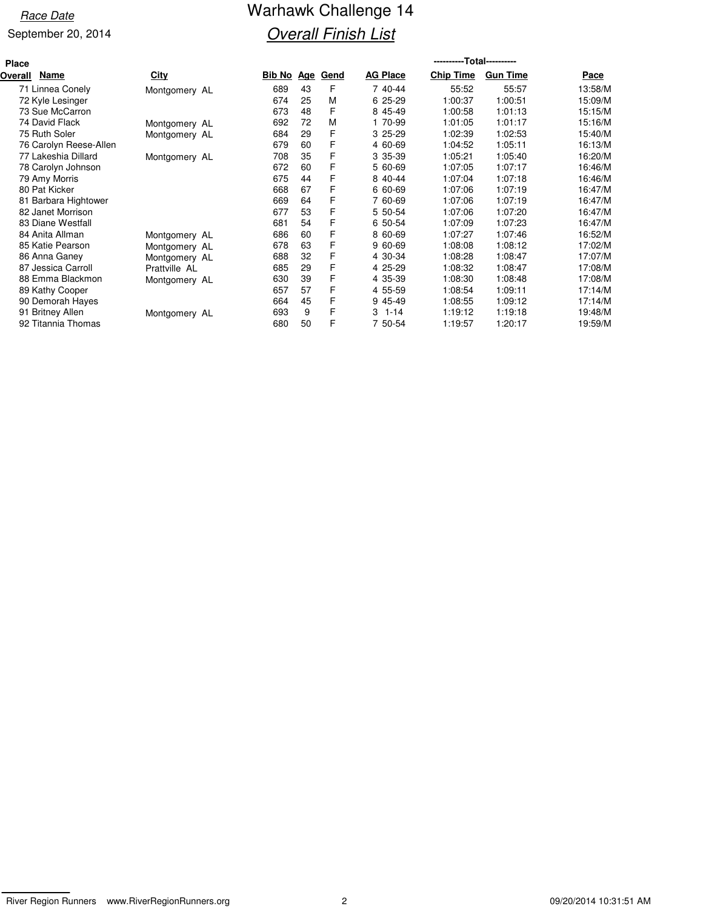# Race Date **Race Date** Warhawk Challenge 14 **Overall Finish List**

| <b>Place</b> |                        |               |                   |    |             |                 | ----------Total---------- |                 |         |
|--------------|------------------------|---------------|-------------------|----|-------------|-----------------|---------------------------|-----------------|---------|
| Overall      | Name                   | <b>City</b>   | <u>Bib No Age</u> |    | <b>Gend</b> | <b>AG Place</b> | <b>Chip Time</b>          | <b>Gun Time</b> | Pace    |
|              | 71 Linnea Conely       | Montgomery AL | 689               | 43 | F           | 7 40-44         | 55:52                     | 55:57           | 13:58/M |
|              | 72 Kyle Lesinger       |               | 674               | 25 | M           | 25-29<br>6      | 1:00:37                   | 1:00:51         | 15:09/M |
|              | 73 Sue McCarron        |               | 673               | 48 | F           | 8 45-49         | 1:00:58                   | 1:01:13         | 15:15/M |
|              | 74 David Flack         | Montgomery AL | 692               | 72 | M           | 70-99           | 1:01:05                   | 1:01:17         | 15:16/M |
|              | 75 Ruth Soler          | Montgomery AL | 684               | 29 | F           | $325-29$        | 1:02:39                   | 1:02:53         | 15:40/M |
|              | 76 Carolyn Reese-Allen |               | 679               | 60 | F           | 4 60-69         | 1:04:52                   | 1:05:11         | 16:13/M |
|              | 77 Lakeshia Dillard    | Montgomery AL | 708               | 35 | F           | 3 35-39         | 1:05:21                   | 1:05:40         | 16:20/M |
|              | 78 Carolyn Johnson     |               | 672               | 60 | F           | 5 60-69         | 1:07:05                   | 1:07:17         | 16:46/M |
|              | 79 Amy Morris          |               | 675               | 44 | F           | 8 40-44         | 1:07:04                   | 1:07:18         | 16:46/M |
|              | 80 Pat Kicker          |               | 668               | 67 | F           | 6 60-69         | 1:07:06                   | 1:07:19         | 16:47/M |
|              | 81 Barbara Hightower   |               | 669               | 64 | F           | 7 60-69         | 1:07:06                   | 1:07:19         | 16:47/M |
|              | 82 Janet Morrison      |               | 677               | 53 | F           | 5 50-54         | 1:07:06                   | 1:07:20         | 16:47/M |
|              | 83 Diane Westfall      |               | 681               | 54 | F           | 6 50-54         | 1:07:09                   | 1:07:23         | 16:47/M |
|              | 84 Anita Allman        | Montgomery AL | 686               | 60 | F           | 8 60-69         | 1:07:27                   | 1:07:46         | 16:52/M |
|              | 85 Katie Pearson       | Montgomery AL | 678               | 63 | F           | 9 60-69         | 1:08:08                   | 1:08:12         | 17:02/M |
|              | 86 Anna Ganey          | Montgomery AL | 688               | 32 | F           | 4 30-34         | 1:08:28                   | 1:08:47         | 17:07/M |
|              | 87 Jessica Carroll     | Prattville AL | 685               | 29 | F           | 4 25-29         | 1:08:32                   | 1:08:47         | 17:08/M |
|              | 88 Emma Blackmon       | Montgomery AL | 630               | 39 | F           | 4 35-39         | 1:08:30                   | 1:08:48         | 17:08/M |
|              | 89 Kathy Cooper        |               | 657               | 57 | F           | 4 55-59         | 1:08:54                   | 1:09:11         | 17:14/M |
|              | 90 Demorah Hayes       |               | 664               | 45 | F           | 9 45-49         | 1:08:55                   | 1:09:12         | 17:14/M |
|              | 91 Britney Allen       | Montgomery AL | 693               | 9  | F           | 3<br>1-14       | 1:19:12                   | 1:19:18         | 19:48/M |
|              | 92 Titannia Thomas     |               | 680               | 50 | F           | 7 50-54         | 1:19:57                   | 1:20:17         | 19:59/M |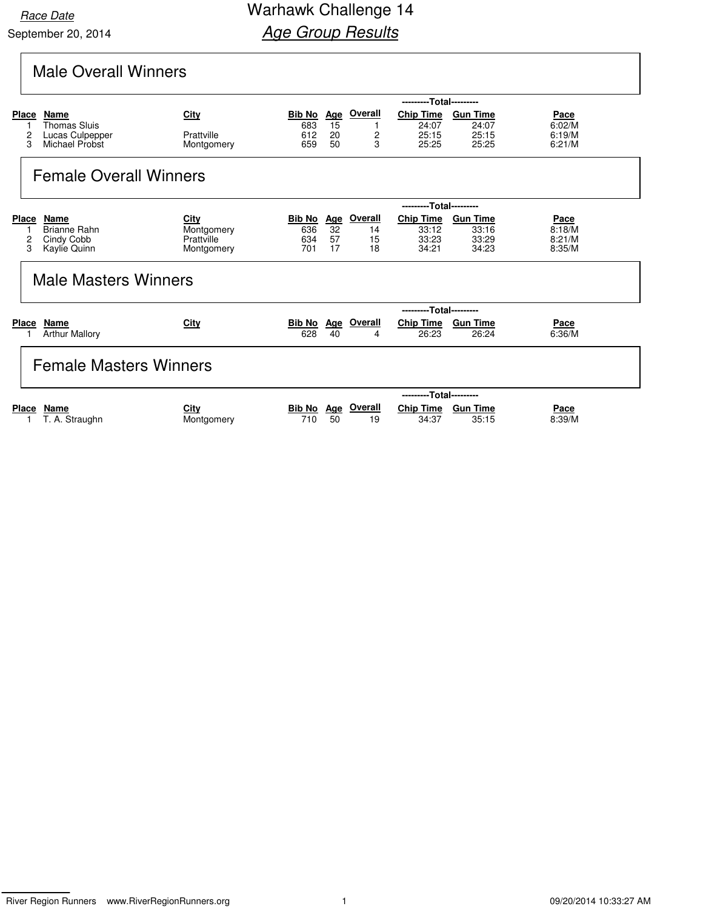# Male Overall Winners

|                      |                                                           | ---------Total---------                        |                                    |                       |                           |                                             |                                            |                                           |  |  |  |  |  |
|----------------------|-----------------------------------------------------------|------------------------------------------------|------------------------------------|-----------------------|---------------------------|---------------------------------------------|--------------------------------------------|-------------------------------------------|--|--|--|--|--|
| Place                | Name<br><b>Thomas Sluis</b>                               | City                                           | <b>Bib No</b><br>683               | Age<br>15             | <b>Overall</b>            | <b>Chip Time</b><br>24:07                   | <b>Gun Time</b><br>24:07                   | Pace<br>6:02/M                            |  |  |  |  |  |
| 2<br>3               | Lucas Culpepper<br>Michael Probst                         | Prattville<br>Montgomery                       | 612<br>659                         | 20<br>50              | $\overline{c}$<br>3       | 25:15<br>25:25                              | 25:15<br>25:25                             | 6:19/M<br>6:21/M                          |  |  |  |  |  |
|                      | <b>Female Overall Winners</b>                             |                                                |                                    |                       |                           |                                             |                                            |                                           |  |  |  |  |  |
|                      |                                                           |                                                |                                    |                       |                           | ---------Total---------                     |                                            |                                           |  |  |  |  |  |
| Place<br>1<br>2<br>3 | Name<br><b>Brianne Rahn</b><br>Cindy Cobb<br>Kaylie Quinn | City<br>Montgomery<br>Prattville<br>Montgomery | <b>Bib No</b><br>636<br>634<br>701 | Age<br>32<br>57<br>17 | Overall<br>14<br>15<br>18 | <b>Chip Time</b><br>33:12<br>33:23<br>34:21 | <b>Gun Time</b><br>33:16<br>33:29<br>34:23 | <b>Pace</b><br>8:18/M<br>8:21/M<br>8:35/M |  |  |  |  |  |
|                      | <b>Male Masters Winners</b>                               |                                                |                                    |                       |                           |                                             |                                            |                                           |  |  |  |  |  |
|                      |                                                           |                                                |                                    |                       |                           | ---------Total---------                     |                                            |                                           |  |  |  |  |  |
| Place                | Name<br><b>Arthur Mallory</b>                             | City                                           | <b>Bib No</b><br>628               | <b>Age</b><br>40      | <b>Overall</b><br>4       | <b>Chip Time</b><br>26:23                   | <b>Gun Time</b><br>26:24                   | Pace<br>6:36/M                            |  |  |  |  |  |
|                      | <b>Female Masters Winners</b>                             |                                                |                                    |                       |                           |                                             |                                            |                                           |  |  |  |  |  |
|                      |                                                           |                                                |                                    |                       |                           | ---------Total---------                     |                                            |                                           |  |  |  |  |  |
| <b>Place</b>         | Name<br>T. A. Straughn                                    | City<br>Montgomery                             | <b>Bib No</b><br>710               | Age<br>50             | Overall<br>19             | <b>Chip Time</b><br>34:37                   | <b>Gun Time</b><br>35:15                   | Pace<br>8:39/M                            |  |  |  |  |  |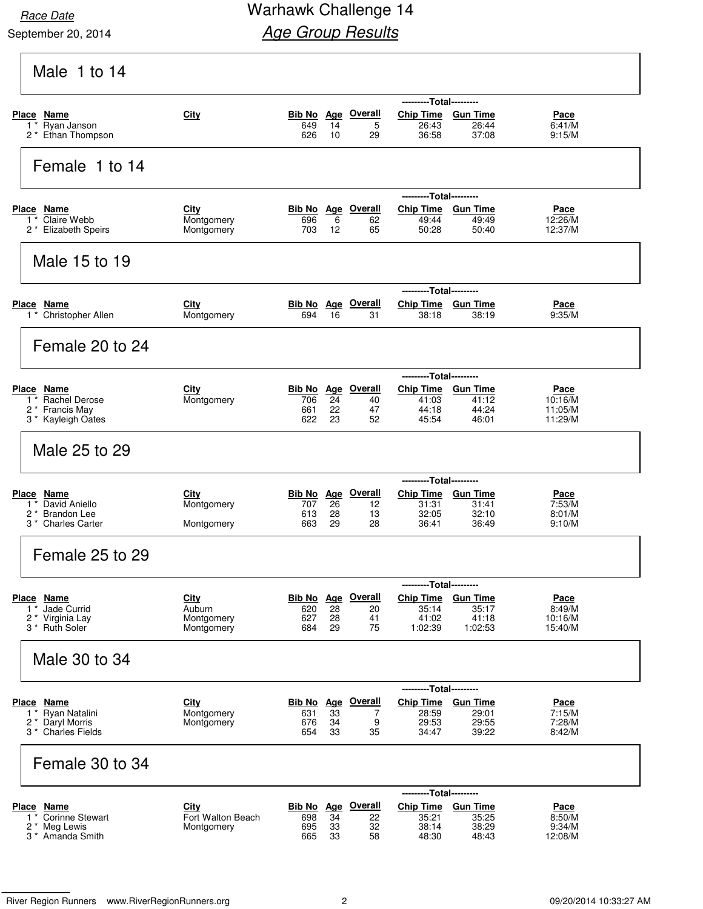### Race Date **Race Date** Warhawk Challenge 14 **Age Group Results**

| Male 1 to 14                                       |                                 |                   |          |                                 |                                               |                          |                       |
|----------------------------------------------------|---------------------------------|-------------------|----------|---------------------------------|-----------------------------------------------|--------------------------|-----------------------|
|                                                    |                                 |                   |          |                                 | ---------Total---------                       |                          |                       |
| Place Name<br>Ryan Janson<br>1                     | City                            | 649               | 14       | <b>Bib No</b> Age Overall<br>5  | <b>Chip Time</b><br>26:43                     | <b>Gun Time</b><br>26:44 | Pace<br>6:41/M        |
| 2 <sup>*</sup> Ethan Thompson                      |                                 | 626               | 10       | 29                              | 36:58                                         | 37:08                    | 9:15/M                |
| Female 1 to 14                                     |                                 |                   |          |                                 |                                               |                          |                       |
|                                                    |                                 |                   |          |                                 | ---------Total---------                       |                          |                       |
| Place Name<br>Claire Webb                          | City                            |                   |          | Bib No Age Overall              | Chip Time Gun Time                            |                          | Pace                  |
| $1^*$<br>2 * Elizabeth Speirs                      | Montgomery<br>Montgomery        | 696<br>703        | 6<br>12  | 62<br>65                        | 49:44<br>50:28                                | 49:49<br>50:40           | 12:26/M<br>12:37/M    |
| Male 15 to 19                                      |                                 |                   |          |                                 |                                               |                          |                       |
|                                                    |                                 |                   |          |                                 | ---------Total---------                       |                          |                       |
| Place Name<br>1 * Christopher Allen                | <b>City</b><br>Montgomery       | 694               | 16       | <b>Bib No Age Overall</b><br>31 | Chip Time Gun Time<br>38:18                   | 38:19                    | Pace<br>9:35/M        |
| Female 20 to 24                                    |                                 |                   |          |                                 |                                               |                          |                       |
|                                                    |                                 |                   |          |                                 | ---------Total---------                       |                          |                       |
| Place Name<br>1 <sup>*</sup> Rachel Derose         | <b>City</b><br>Montgomery       | 706               | 24       | Bib No Age Overall<br>40        | Chip Time Gun Time<br>41:03                   | 41:12                    | Pace<br>10:16/M       |
| 2<br>* Francis May                                 |                                 | 661               | 22       | 47                              | 44:18                                         | 44:24                    | 11:05/M               |
| 3 * Kayleigh Oates                                 |                                 | 622               | 23       | 52                              | 45:54                                         | 46:01                    | 11:29/M               |
| Male 25 to 29                                      |                                 |                   |          |                                 |                                               |                          |                       |
|                                                    |                                 |                   |          |                                 | ---------Total---------                       |                          |                       |
| <b>Place Name</b><br>David Aniello<br>$\mathbf{1}$ | <b>City</b><br>Montgomery       | Bib No Age<br>707 | 26       | <b>Overall</b><br>12            | Chip Time Gun Time<br>31:31                   | 31:41                    | <u>Pace</u><br>7:53/M |
| 2 <sup>*</sup> Brandon Lee                         |                                 | 613               | 28       | 13                              | 32:05                                         | 32:10                    | 8:01/M                |
| 3 <sup>*</sup> Charles Carter                      | Montgomery                      | 663               | 29       | 28                              | 36:41                                         | 36:49                    | 9:10/M                |
| Female 25 to 29                                    |                                 |                   |          |                                 |                                               |                          |                       |
| Place Name                                         | City                            |                   |          | <b>Bib No</b> Age Overall       | ---------Total---------<br>Chip Time Gun Time |                          | Pace                  |
| Jade Currid<br>$\mathbf{1}$                        | Auburn                          | 620               | 28       | 20                              | 35:14                                         | 35:17                    | 8:49/M                |
| 2 * Virginia Lay<br>3 <sup>*</sup> Ruth Soler      | Montgomery<br>Montgomery        | 627<br>684        | 28<br>29 | 41<br>75                        | 41:02<br>1:02:39                              | 41:18<br>1:02:53         | 10:16/M<br>15:40/M    |
| Male 30 to 34                                      |                                 |                   |          |                                 |                                               |                          |                       |
|                                                    |                                 |                   |          |                                 | ---------Total---------                       |                          |                       |
| Place<br>Name                                      | <b>City</b>                     |                   |          | Bib No Age Overall              | <b>Chip Time</b>                              | <b>Gun Time</b>          | <u>Pace</u>           |
| Ryan Natalini<br>1                                 | Montgomery                      | 631               | 33       | 7                               | 28:59                                         | 29:01                    | 7:15/M                |
| 2 * Daryl Morris<br>3 <sup>*</sup> Charles Fields  | Montgomery                      | 676<br>654        | 34<br>33 | 9<br>35                         | 29:53<br>34:47                                | 29:55<br>39:22           | 7:28/M<br>8:42/M      |
| Female 30 to 34                                    |                                 |                   |          |                                 |                                               |                          |                       |
|                                                    |                                 |                   |          |                                 | ---------Total---------                       |                          |                       |
| Place Name                                         | City                            |                   |          | <b>Bib No</b> Age Overall       | Chip Time Gun Time                            |                          | Pace                  |
| <b>Corinne Stewart</b><br>$1^*$<br>2 * Meg Lewis   | Fort Walton Beach<br>Montgomery | 698<br>695        | 34<br>33 | 22<br>32                        | 35:21<br>38:14                                | 35:25<br>38:29           | 8:50/M<br>9:34/M      |
| 3 <sup>*</sup> Amanda Smith                        |                                 | 665               | 33       | 58                              | 48:30                                         | 48:43                    | 12:08/M               |
|                                                    |                                 |                   |          |                                 |                                               |                          |                       |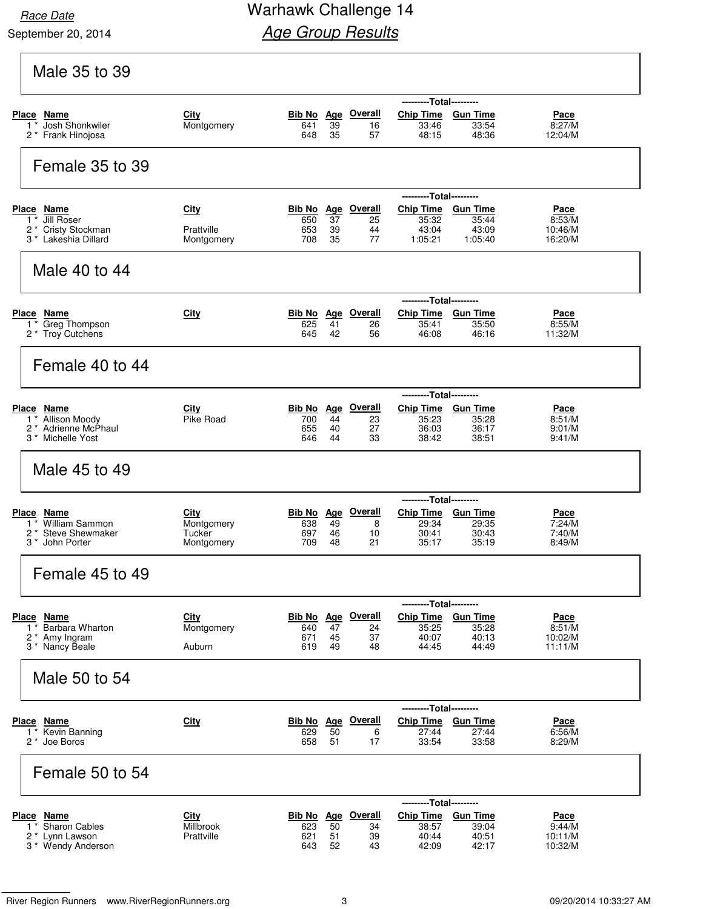## Race Date **Race Date** Warhawk Challenge 14 **Age Group Results**

| Male 35 to 39                                                   |                           |               |                  |                                 |                                               |                          |                       |
|-----------------------------------------------------------------|---------------------------|---------------|------------------|---------------------------------|-----------------------------------------------|--------------------------|-----------------------|
| Place Name                                                      | City                      |               |                  | <b>Bib No</b> Age Overall       | ---------Total---------<br>Chip Time Gun Time |                          |                       |
| Josh Shonkwiler<br>$1^*$                                        | Montgomery                | 641           | 39<br>35         | 16<br>57                        | 33:46<br>48:15                                | 33:54                    | Pace<br>8:27/M        |
| 2 * Frank Hinojosa                                              |                           | 648           |                  |                                 |                                               | 48:36                    | 12:04/M               |
| Female 35 to 39                                                 |                           |               |                  |                                 |                                               |                          |                       |
| Place Name                                                      | City                      |               |                  | <b>Bib No</b> Age Overall       | ---------Total---------<br>Chip Time Gun Time |                          | Pace                  |
| Jill Roser<br>$1^*$<br>2* Cristy Stockman                       | Prattville                | 650<br>653    | 37<br>39         | 25<br>44                        | 35:32<br>43:04                                | 35:44<br>43:09           | 8:53/M<br>10:46/M     |
| 3 * Lakeshia Dillard                                            | Montgomery                | 708           | 35               | 77                              | 1:05:21                                       | 1:05:40                  | 16:20/M               |
| Male 40 to 44                                                   |                           |               |                  |                                 |                                               |                          |                       |
|                                                                 |                           |               |                  |                                 | -----                                         | ---Total---------        |                       |
| Place Name<br>1 <sup>*</sup> Greg Thompson                      | City                      | 625           | 41               | <b>Bib No</b> Age Overall<br>26 | Chip Time Gun Time<br>35:41                   | 35:50                    | <u>Pace</u><br>8:55/M |
| 2 * Troy Cutchens                                               |                           | 645           | 42               | 56                              | 46:08                                         | 46:16                    | 11:32/M               |
| Female 40 to 44                                                 |                           |               |                  |                                 |                                               |                          |                       |
|                                                                 |                           |               |                  |                                 | ---------Total---------                       |                          |                       |
| Place Name<br>1 * Allison Moody                                 | City<br>Pike Road         | Bib No<br>700 | <b>Age</b><br>44 | <b>Overall</b><br>23            | Chip Time Gun Time<br>35:23                   | 35:28                    | Pace<br>8:51/M        |
| 2 <sup>*</sup> Adrienne McPhaul<br>3 <sup>*</sup> Michelle Yost |                           | 655<br>646    | 40<br>44         | 27<br>33                        | 36:03<br>38:42                                | 36:17<br>38:51           | 9:01/M<br>9:41/M      |
| Male 45 to 49                                                   |                           |               |                  |                                 |                                               |                          |                       |
|                                                                 |                           |               |                  |                                 | ---------Total---------                       |                          |                       |
| Place Name<br>William Sammon<br>$1^*$                           | City<br>Montgomery        | Bib No Age    | 49               | <b>Overall</b>                  | <b>Chip Time</b><br>29:34                     | <b>Gun Time</b><br>29:35 | <u>Pace</u><br>7:24/M |
| <b>Steve Shewmaker</b><br>$2^*$                                 | Tucker                    | 638<br>697    | 46               | 8<br>10                         | 30:41                                         | 30:43                    | 7:40/M                |
| 3 <sup>*</sup> John Porter                                      | Montgomery                | 709           | 48               | 21                              | 35:17                                         | 35:19                    | 8:49/M                |
| Female 45 to 49                                                 |                           |               |                  |                                 |                                               |                          |                       |
|                                                                 |                           |               |                  |                                 | ---------Total---------                       |                          |                       |
| Place Name<br>1 * Barbara Wharton                               | <b>City</b><br>Montgomery | 640           | 47               | Bib No Age Overall<br>24        | Chip Time Gun Time<br>35:25                   | 35:28                    | <b>Pace</b><br>8:51/M |
| 2 * Amy Ingram<br>3 * Nancy Beale                               | Auburn                    | 671<br>619    | 45<br>49         | 37<br>48                        | 40:07<br>44:45                                | 40:13<br>44:49           | 10:02/M<br>11:11/M    |
| Male 50 to 54                                                   |                           |               |                  |                                 |                                               |                          |                       |
|                                                                 |                           |               |                  |                                 | ---------Total---------                       |                          |                       |
| Place Name<br>1 * Kevin Banning                                 | City                      | 629           | 50               | Bib No Age Overall<br>6         | Chip Time Gun Time<br>27:44                   | 27:44                    | Pace<br>6:56/M        |
| 2 <sup>*</sup> Joe Boros                                        |                           | 658           | 51               | 17                              | 33:54                                         | 33:58                    | 8:29/M                |
| Female 50 to 54                                                 |                           |               |                  |                                 |                                               |                          |                       |
| Place Name                                                      | City                      |               |                  | <b>Bib No</b> Age Overall       | ---------Total---------<br>Chip Time Gun Time |                          |                       |
| <b>Sharon Cables</b><br>$1^*$                                   | Millbrook                 | 623           | 50               | 34                              | 38:57                                         | 39:04                    | <u>Pace</u><br>9:44/M |
| 2 * Lynn Lawson                                                 | Prattville                | 621           | 51               | 39                              | 40:44                                         | 40:51                    | 10:11/M               |

River Region Runners www.RiverRegionRunners.org 3 09/20/2014 10:33:27 AM